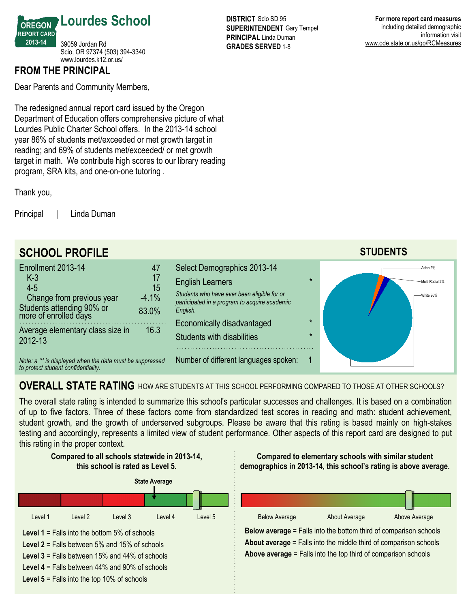

## **FROM THE PRINCIPAL**

Dear Parents and Community Members,

The redesigned annual report card issued by the Oregon Department of Education offers comprehensive picture of what Lourdes Public Charter School offers. In the 2013-14 school year 86% of students met/exceeded or met growth target in reading; and 69% of students met/exceeded/ or met growth target in math. We contribute high scores to our library reading program, SRA kits, and one-on-one tutoring.

Thank you,

Principal | Linda Duman



**For more report card measures** including detailed demographic information visit www.ode.state.or.us/go/RCMeasures



# **OVERALL STATE RATING** HOW ARE STUDENTS AT THIS SCHOOL PERFORMING COMPARED TO THOSE AT OTHER SCHOOLS?

The overall state rating is intended to summarize this school's particular successes and challenges. It is based on a combination of up to five factors. Three of these factors come from standardized test scores in reading and math: student achievement, student growth, and the growth of underserved subgroups. Please be aware that this rating is based mainly on high-stakes testing and accordingly, represents a limited view of student performance. Other aspects of this report card are designed to put this rating in the proper context.

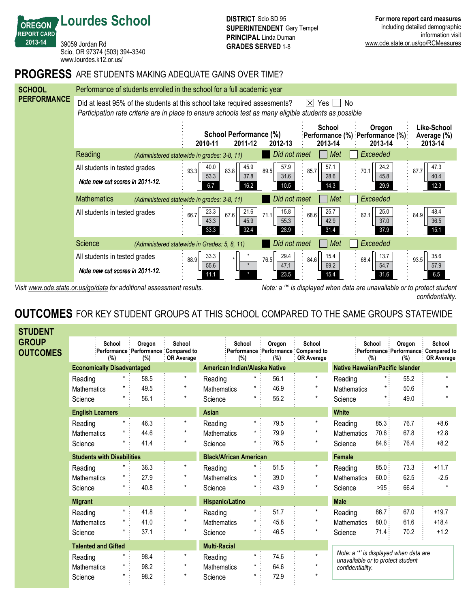39059 Jordan Rd Scio, OR 97374 (503) 394-3340 <www.lourdes.k12.or.us/>

**Lourdes School**

**OREGON REPORT CARD 201314**

### **PROGRESS** ARE STUDENTS MAKING ADEQUATE GAINS OVER TIME?



*Visit www.ode.state.or.us/go/data for additional assessment results. Note: a '\*' is displayed when data are unavailable or to protect student confidentiality.*

# **OUTCOMES** FOR KEY STUDENT GROUPS AT THIS SCHOOL COMPARED TO THE SAME GROUPS STATEWIDE

| <b>STUDENT</b>                  |                                   |  |                               |                                                                           |                               |               |                                         |                                                             |                                                                             |               |                                                       |                             |
|---------------------------------|-----------------------------------|--|-------------------------------|---------------------------------------------------------------------------|-------------------------------|---------------|-----------------------------------------|-------------------------------------------------------------|-----------------------------------------------------------------------------|---------------|-------------------------------------------------------|-----------------------------|
| <b>GROUP</b><br><b>OUTCOMES</b> | School<br>(%)                     |  | Oregon<br>(%)                 | <b>School</b><br>Performance Performance Compared to<br><b>OR Average</b> |                               | School<br>(%) | Oregon<br>(%)                           | School<br>Performance Performance Compared to<br>OR Average |                                                                             | School<br>(%) | Oregon<br>:Performance Performance Compared to<br>(%) | School<br><b>OR Average</b> |
|                                 | <b>Economically Disadvantaged</b> |  | American Indian/Alaska Native |                                                                           |                               |               | <b>Native Hawaiian/Pacific Islander</b> |                                                             |                                                                             |               |                                                       |                             |
|                                 | Reading                           |  | 58.5                          | $^\star$                                                                  | Reading                       | $\star$       | 56.1                                    | $\star$                                                     | Reading                                                                     |               | 55.2                                                  | ٠                           |
|                                 | <b>Mathematics</b>                |  | 49.5                          | $\star$                                                                   | <b>Mathematics</b>            |               | 46.9                                    | $\star$                                                     | <b>Mathematics</b>                                                          | $\star$ :     | 50.6                                                  |                             |
|                                 | Science                           |  | 56.1                          | $\star$                                                                   | Science                       | $\star$       | 55.2                                    | $\star$                                                     | Science                                                                     | $\star$       | 49.0                                                  |                             |
|                                 | <b>English Learners</b>           |  |                               |                                                                           | Asian                         |               |                                         |                                                             | <b>White</b>                                                                |               |                                                       |                             |
|                                 | Reading                           |  | 46.3                          | $\star$                                                                   | Reading                       | $\star$ :     | 79.5                                    | $\star$                                                     | Reading                                                                     | 85.3:         | 76.7                                                  | $+8.6$                      |
|                                 | <b>Mathematics</b>                |  | 44.6                          | $\star$                                                                   | <b>Mathematics</b>            | $^\star$      | 79.9                                    | $\star$                                                     | <b>Mathematics</b>                                                          | 70.6:         | 67.8                                                  | $+2.8$                      |
|                                 | Science                           |  | 41.4                          | $\star$                                                                   | Science                       |               | 76.5                                    | $^\star$                                                    | Science                                                                     | 84.6:         | 76.4                                                  | $+8.2$                      |
|                                 | <b>Students with Disabilities</b> |  |                               |                                                                           | <b>Black/African American</b> |               |                                         |                                                             | <b>Female</b>                                                               |               |                                                       |                             |
|                                 | Reading                           |  | 36.3                          | $\star$                                                                   | Reading                       |               | 51.5                                    | $\star$                                                     | Reading                                                                     | 85.0:         | 73.3                                                  | $+11.7$                     |
|                                 | Mathematics                       |  | 27.9                          | $^\star$                                                                  | <b>Mathematics</b>            |               | 39.0                                    | $\star$                                                     | <b>Mathematics</b>                                                          | 60.0.         | 62.5                                                  | $-2.5$                      |
|                                 | Science                           |  | 40.8                          | $\star$                                                                   | Science                       |               | 43.9                                    | $\star$                                                     | Science                                                                     | >95:          | 66.4                                                  |                             |
|                                 | <b>Migrant</b>                    |  |                               |                                                                           | <b>Hispanic/Latino</b>        |               |                                         |                                                             | <b>Male</b>                                                                 |               |                                                       |                             |
|                                 | Reading                           |  | 41.8                          | $^\star$                                                                  | Reading                       | $\star$ .     | 51.7                                    | $^\star$                                                    | Reading                                                                     | 86.7:         | 67.0                                                  | $+19.7$                     |
|                                 | <b>Mathematics</b>                |  | 41.0                          | $\star$                                                                   | <b>Mathematics</b>            | $\star$       | 45.8                                    | $^\star$                                                    | <b>Mathematics</b>                                                          | 80.0:         | 61.6                                                  | $+18.4$                     |
|                                 | Science                           |  | 37.1                          | $\star$                                                                   | Science                       |               | 46.5                                    | $\star$                                                     | Science                                                                     | 71.4:         | 70.2                                                  | $+1.2$                      |
|                                 | <b>Talented and Gifted</b>        |  |                               |                                                                           | <b>Multi-Racial</b>           |               |                                         |                                                             |                                                                             |               |                                                       |                             |
|                                 | Reading                           |  | 98.4                          | $\star$                                                                   | Reading                       | $\star$ .     | 74.6                                    | $\star$                                                     | Note: a "*' is displayed when data are<br>unavailable or to protect student |               |                                                       |                             |
|                                 | <b>Mathematics</b>                |  | 98.2                          | $\star$                                                                   | <b>Mathematics</b>            |               | 64.6                                    | $\star$                                                     | confidentiality.                                                            |               |                                                       |                             |
|                                 | Science                           |  | 98.2                          | $^\star$                                                                  | Science                       | $\star$       | 72.9                                    | $\star$                                                     |                                                                             |               |                                                       |                             |